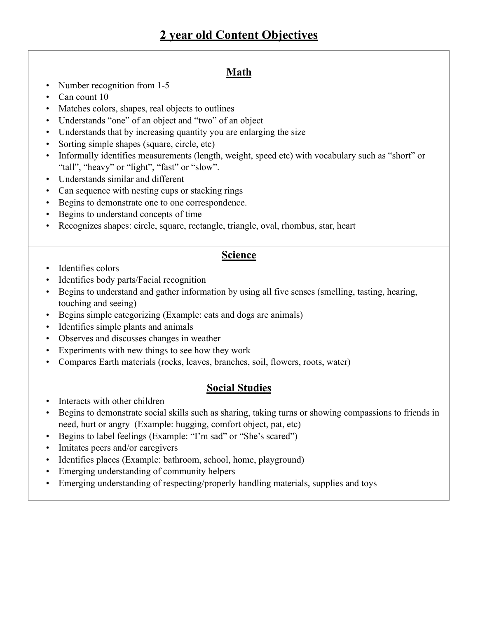## **Math**

- Number recognition from 1-5
- Can count 10
- Matches colors, shapes, real objects to outlines
- Understands "one" of an object and "two" of an object
- Understands that by increasing quantity you are enlarging the size
- Sorting simple shapes (square, circle, etc)
- Informally identifies measurements (length, weight, speed etc) with vocabulary such as "short" or "tall", "heavy" or "light", "fast" or "slow".
- Understands similar and different
- Can sequence with nesting cups or stacking rings
- Begins to demonstrate one to one correspondence.
- Begins to understand concepts of time
- Recognizes shapes: circle, square, rectangle, triangle, oval, rhombus, star, heart

#### **Science**

- Identifies colors
- Identifies body parts/Facial recognition
- Begins to understand and gather information by using all five senses (smelling, tasting, hearing, touching and seeing)
- Begins simple categorizing (Example: cats and dogs are animals)
- Identifies simple plants and animals
- Observes and discusses changes in weather
- Experiments with new things to see how they work
- Compares Earth materials (rocks, leaves, branches, soil, flowers, roots, water)

#### **Social Studies**

- Interacts with other children
- Begins to demonstrate social skills such as sharing, taking turns or showing compassions to friends in need, hurt or angry (Example: hugging, comfort object, pat, etc)
- Begins to label feelings (Example: "I'm sad" or "She's scared")
- Imitates peers and/or caregivers
- Identifies places (Example: bathroom, school, home, playground)
- Emerging understanding of community helpers
- Emerging understanding of respecting/properly handling materials, supplies and toys